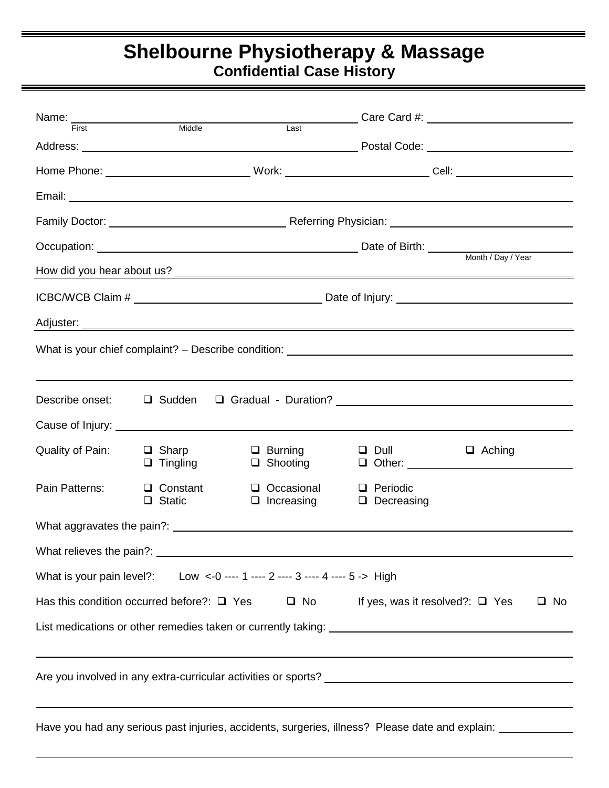## **Shelbourne Physiotherapy & Massage Confidential Case History**

| Name:<br>First Middle                                                                                                                                          |                                  | Last                                   |                                                                                                                | Care Card #: <u>care Card #:</u> care Card #: care card #: care card #: care care and a set of the set of the set of the set of the set of the set of the set of the set of the set of the set of the set of the set of the set of |  |  |  |  |  |
|----------------------------------------------------------------------------------------------------------------------------------------------------------------|----------------------------------|----------------------------------------|----------------------------------------------------------------------------------------------------------------|------------------------------------------------------------------------------------------------------------------------------------------------------------------------------------------------------------------------------------|--|--|--|--|--|
|                                                                                                                                                                |                                  |                                        |                                                                                                                |                                                                                                                                                                                                                                    |  |  |  |  |  |
|                                                                                                                                                                |                                  |                                        | Home Phone: ___________________________________Work: ________________________________Cell: ___________________ |                                                                                                                                                                                                                                    |  |  |  |  |  |
|                                                                                                                                                                |                                  |                                        |                                                                                                                |                                                                                                                                                                                                                                    |  |  |  |  |  |
|                                                                                                                                                                |                                  |                                        |                                                                                                                |                                                                                                                                                                                                                                    |  |  |  |  |  |
|                                                                                                                                                                |                                  |                                        |                                                                                                                | Occupation: <u>Netherlands and Department of Birth:</u> Date of Birth: Month / Day / Year                                                                                                                                          |  |  |  |  |  |
|                                                                                                                                                                |                                  |                                        |                                                                                                                |                                                                                                                                                                                                                                    |  |  |  |  |  |
|                                                                                                                                                                |                                  |                                        |                                                                                                                |                                                                                                                                                                                                                                    |  |  |  |  |  |
|                                                                                                                                                                |                                  |                                        |                                                                                                                |                                                                                                                                                                                                                                    |  |  |  |  |  |
|                                                                                                                                                                |                                  |                                        |                                                                                                                |                                                                                                                                                                                                                                    |  |  |  |  |  |
|                                                                                                                                                                |                                  |                                        |                                                                                                                |                                                                                                                                                                                                                                    |  |  |  |  |  |
| Describe onset:                                                                                                                                                |                                  |                                        |                                                                                                                |                                                                                                                                                                                                                                    |  |  |  |  |  |
|                                                                                                                                                                |                                  |                                        |                                                                                                                |                                                                                                                                                                                                                                    |  |  |  |  |  |
| Quality of Pain:                                                                                                                                               | $\Box$ Sharp<br>$\Box$ Tingling  | $\Box$ Burning<br>$\Box$ Shooting      | $\Box$ Dull $\Box$                                                                                             | $\Box$ Aching                                                                                                                                                                                                                      |  |  |  |  |  |
| Pain Patterns:                                                                                                                                                 | $\Box$ Constant<br>$\Box$ Static | $\Box$ Occasional<br>$\Box$ Increasing | $\Box$ Periodic<br>$\Box$ Decreasing                                                                           |                                                                                                                                                                                                                                    |  |  |  |  |  |
|                                                                                                                                                                |                                  |                                        |                                                                                                                |                                                                                                                                                                                                                                    |  |  |  |  |  |
|                                                                                                                                                                |                                  |                                        |                                                                                                                |                                                                                                                                                                                                                                    |  |  |  |  |  |
| Low <-0 ---- 1 ---- 2 ---- 3 ---- 4 ---- 5 -> High<br>What is your pain level?:                                                                                |                                  |                                        |                                                                                                                |                                                                                                                                                                                                                                    |  |  |  |  |  |
| Has this condition occurred before?: $\Box$ Yes<br>$\Box$ No<br>If yes, was it resolved?: $\Box$ Yes<br>$\Box$ No                                              |                                  |                                        |                                                                                                                |                                                                                                                                                                                                                                    |  |  |  |  |  |
|                                                                                                                                                                |                                  |                                        |                                                                                                                |                                                                                                                                                                                                                                    |  |  |  |  |  |
|                                                                                                                                                                |                                  |                                        |                                                                                                                |                                                                                                                                                                                                                                    |  |  |  |  |  |
|                                                                                                                                                                |                                  |                                        |                                                                                                                |                                                                                                                                                                                                                                    |  |  |  |  |  |
| <u> 1989 - Andrea Andrew Maria (h. 1989).</u><br>Have you had any serious past injuries, accidents, surgeries, illness? Please date and explain: _____________ |                                  |                                        |                                                                                                                |                                                                                                                                                                                                                                    |  |  |  |  |  |